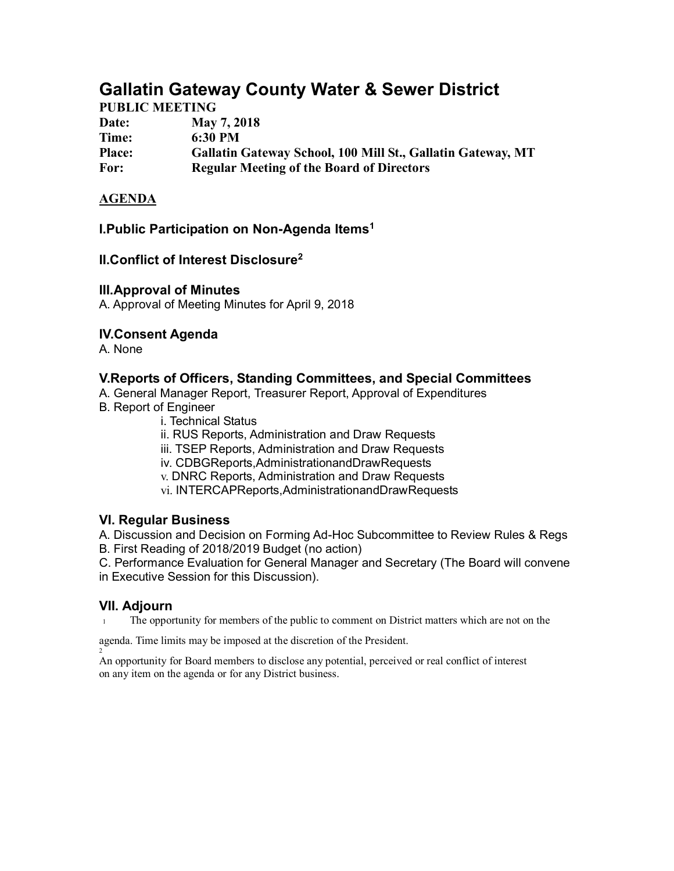# **Gallatin Gateway County Water & Sewer District**

## **PUBLIC MEETING**

| 1 ODDIC MIDD I 11 \ O |                                                             |
|-----------------------|-------------------------------------------------------------|
| Date:                 | <b>May 7, 2018</b>                                          |
| Time:                 | 6:30 PM                                                     |
| <b>Place:</b>         | Gallatin Gateway School, 100 Mill St., Gallatin Gateway, MT |
| For:                  | <b>Regular Meeting of the Board of Directors</b>            |

#### **AGENDA**

#### **I.Public Participation on Non-Agenda Items1**

#### **II.Conflict of Interest Disclosure2**

#### **III.Approval of Minutes**

A. Approval of Meeting Minutes for April 9, 2018

## **IV.Consent Agenda**

A. None

#### **V.Reports of Officers, Standing Committees, and Special Committees**

A. General Manager Report, Treasurer Report, Approval of Expenditures

- B. Report of Engineer
	- i. Technical Status

ii. RUS Reports, Administration and Draw Requests

iii. TSEP Reports, Administration and Draw Requests

iv. CDBGReports,AdministrationandDrawRequests

v. DNRC Reports, Administration and Draw Requests

vi. INTERCAPReports,AdministrationandDrawRequests

## **VI. Regular Business**

A. Discussion and Decision on Forming Ad-Hoc Subcommittee to Review Rules & Regs B. First Reading of 2018/2019 Budget (no action)

C. Performance Evaluation for General Manager and Secretary (The Board will convene in Executive Session for this Discussion).

#### **VII. Adjourn**

2

<sup>1</sup> The opportunity for members of the public to comment on District matters which are not on the

agenda. Time limits may be imposed at the discretion of the President.

An opportunity for Board members to disclose any potential, perceived or real conflict of interest on any item on the agenda or for any District business.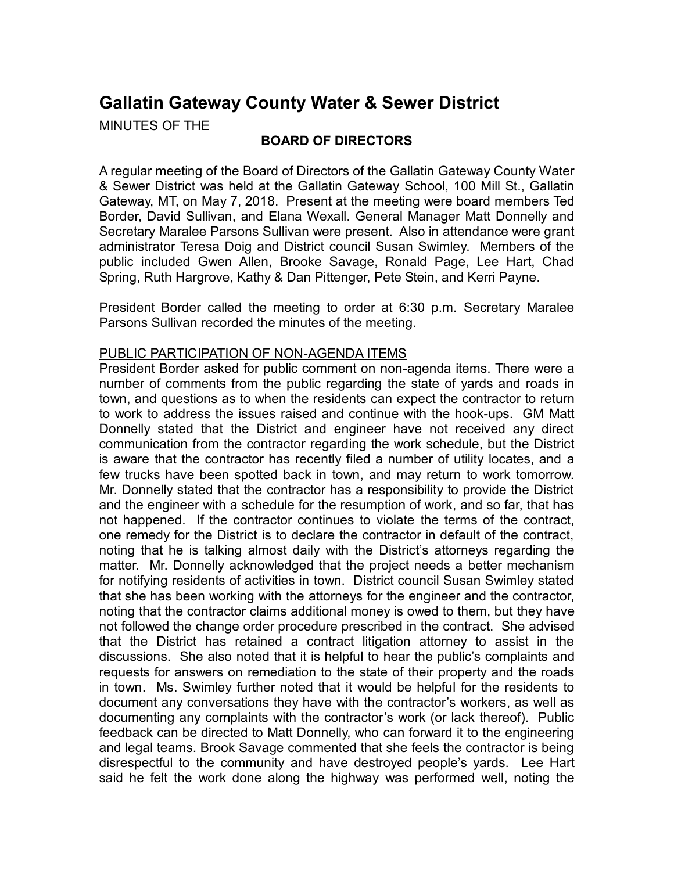# **Gallatin Gateway County Water & Sewer District**

MINUTES OF THE

# **BOARD OF DIRECTORS**

A regular meeting of the Board of Directors of the Gallatin Gateway County Water & Sewer District was held at the Gallatin Gateway School, 100 Mill St., Gallatin Gateway, MT, on May 7, 2018. Present at the meeting were board members Ted Border, David Sullivan, and Elana Wexall. General Manager Matt Donnelly and Secretary Maralee Parsons Sullivan were present. Also in attendance were grant administrator Teresa Doig and District council Susan Swimley. Members of the public included Gwen Allen, Brooke Savage, Ronald Page, Lee Hart, Chad Spring, Ruth Hargrove, Kathy & Dan Pittenger, Pete Stein, and Kerri Payne.

President Border called the meeting to order at 6:30 p.m. Secretary Maralee Parsons Sullivan recorded the minutes of the meeting.

#### PUBLIC PARTICIPATION OF NON-AGENDA ITEMS

President Border asked for public comment on non-agenda items. There were a number of comments from the public regarding the state of yards and roads in town, and questions as to when the residents can expect the contractor to return to work to address the issues raised and continue with the hook-ups. GM Matt Donnelly stated that the District and engineer have not received any direct communication from the contractor regarding the work schedule, but the District is aware that the contractor has recently filed a number of utility locates, and a few trucks have been spotted back in town, and may return to work tomorrow. Mr. Donnelly stated that the contractor has a responsibility to provide the District and the engineer with a schedule for the resumption of work, and so far, that has not happened. If the contractor continues to violate the terms of the contract, one remedy for the District is to declare the contractor in default of the contract, noting that he is talking almost daily with the District's attorneys regarding the matter. Mr. Donnelly acknowledged that the project needs a better mechanism for notifying residents of activities in town. District council Susan Swimley stated that she has been working with the attorneys for the engineer and the contractor, noting that the contractor claims additional money is owed to them, but they have not followed the change order procedure prescribed in the contract. She advised that the District has retained a contract litigation attorney to assist in the discussions. She also noted that it is helpful to hear the public's complaints and requests for answers on remediation to the state of their property and the roads in town. Ms. Swimley further noted that it would be helpful for the residents to document any conversations they have with the contractor's workers, as well as documenting any complaints with the contractor's work (or lack thereof). Public feedback can be directed to Matt Donnelly, who can forward it to the engineering and legal teams. Brook Savage commented that she feels the contractor is being disrespectful to the community and have destroyed people's yards. Lee Hart said he felt the work done along the highway was performed well, noting the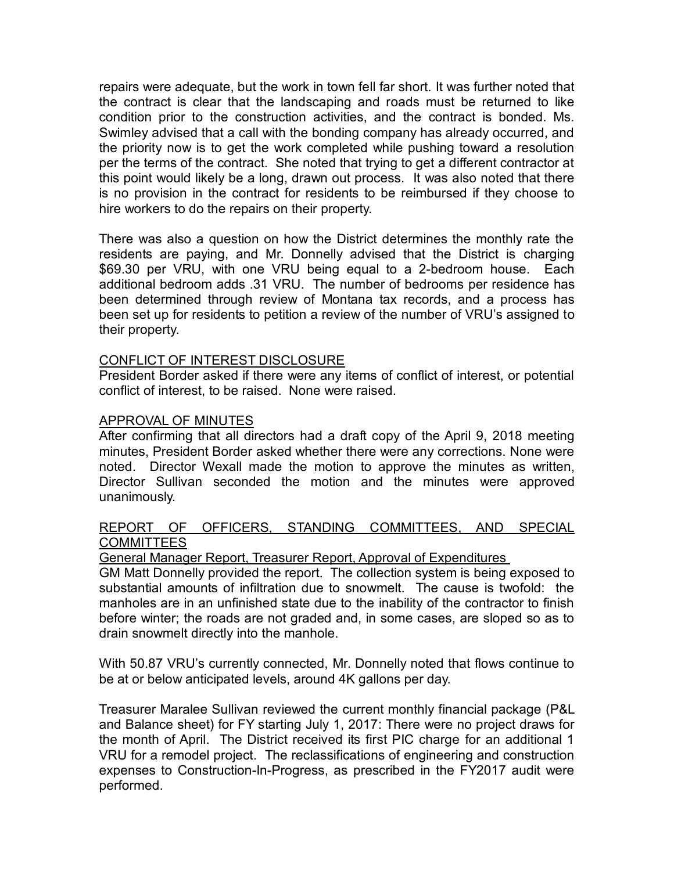repairs were adequate, but the work in town fell far short. It was further noted that the contract is clear that the landscaping and roads must be returned to like condition prior to the construction activities, and the contract is bonded. Ms. Swimley advised that a call with the bonding company has already occurred, and the priority now is to get the work completed while pushing toward a resolution per the terms of the contract. She noted that trying to get a different contractor at this point would likely be a long, drawn out process. It was also noted that there is no provision in the contract for residents to be reimbursed if they choose to hire workers to do the repairs on their property.

There was also a question on how the District determines the monthly rate the residents are paying, and Mr. Donnelly advised that the District is charging \$69.30 per VRU, with one VRU being equal to a 2-bedroom house. Each additional bedroom adds .31 VRU. The number of bedrooms per residence has been determined through review of Montana tax records, and a process has been set up for residents to petition a review of the number of VRU's assigned to their property.

## CONFLICT OF INTEREST DISCLOSURE

President Border asked if there were any items of conflict of interest, or potential conflict of interest, to be raised. None were raised.

#### APPROVAL OF MINUTES

After confirming that all directors had a draft copy of the April 9, 2018 meeting minutes, President Border asked whether there were any corrections. None were noted. Director Wexall made the motion to approve the minutes as written, Director Sullivan seconded the motion and the minutes were approved unanimously.

#### REPORT OF OFFICERS, STANDING COMMITTEES, AND SPECIAL **COMMITTEES**

#### General Manager Report, Treasurer Report, Approval of Expenditures

GM Matt Donnelly provided the report. The collection system is being exposed to substantial amounts of infiltration due to snowmelt. The cause is twofold: the manholes are in an unfinished state due to the inability of the contractor to finish before winter; the roads are not graded and, in some cases, are sloped so as to drain snowmelt directly into the manhole.

With 50.87 VRU's currently connected, Mr. Donnelly noted that flows continue to be at or below anticipated levels, around 4K gallons per day.

Treasurer Maralee Sullivan reviewed the current monthly financial package (P&L and Balance sheet) for FY starting July 1, 2017: There were no project draws for the month of April. The District received its first PIC charge for an additional 1 VRU for a remodel project. The reclassifications of engineering and construction expenses to Construction-In-Progress, as prescribed in the FY2017 audit were performed.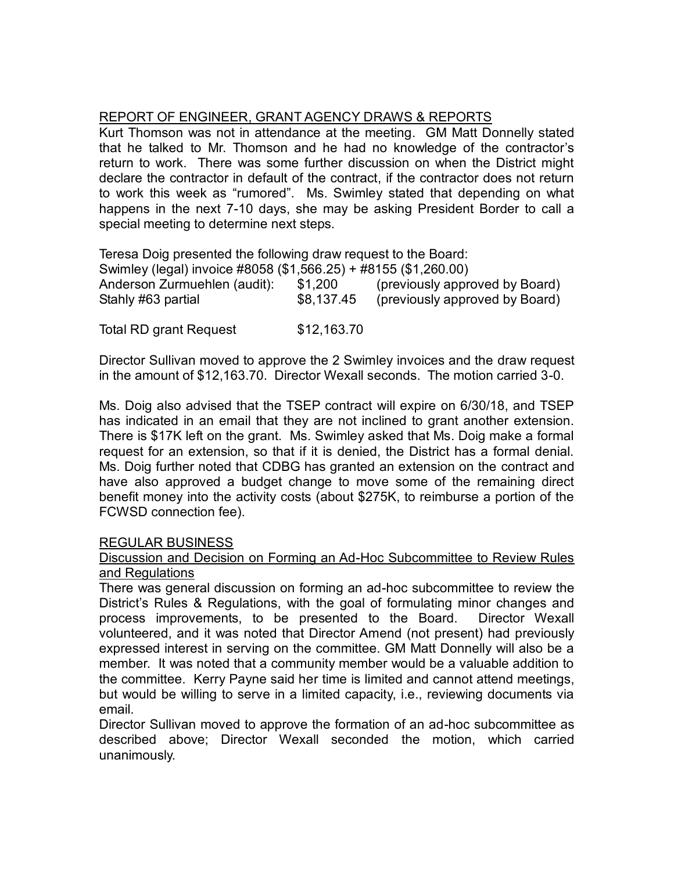# REPORT OF ENGINEER, GRANT AGENCY DRAWS & REPORTS

Kurt Thomson was not in attendance at the meeting. GM Matt Donnelly stated that he talked to Mr. Thomson and he had no knowledge of the contractor's return to work. There was some further discussion on when the District might declare the contractor in default of the contract, if the contractor does not return to work this week as "rumored". Ms. Swimley stated that depending on what happens in the next 7-10 days, she may be asking President Border to call a special meeting to determine next steps.

Teresa Doig presented the following draw request to the Board:

|            | Swimley (legal) invoice #8058 (\$1,566.25) + #8155 (\$1,260.00) |
|------------|-----------------------------------------------------------------|
| \$1,200    | (previously approved by Board)                                  |
| \$8,137.45 | (previously approved by Board)                                  |
|            |                                                                 |

Total RD grant Request \$12,163.70

Director Sullivan moved to approve the 2 Swimley invoices and the draw request in the amount of \$12,163.70. Director Wexall seconds. The motion carried 3-0.

Ms. Doig also advised that the TSEP contract will expire on 6/30/18, and TSEP has indicated in an email that they are not inclined to grant another extension. There is \$17K left on the grant. Ms. Swimley asked that Ms. Doig make a formal request for an extension, so that if it is denied, the District has a formal denial. Ms. Doig further noted that CDBG has granted an extension on the contract and have also approved a budget change to move some of the remaining direct benefit money into the activity costs (about \$275K, to reimburse a portion of the FCWSD connection fee).

# REGULAR BUSINESS

#### Discussion and Decision on Forming an Ad-Hoc Subcommittee to Review Rules and Regulations

There was general discussion on forming an ad-hoc subcommittee to review the District's Rules & Regulations, with the goal of formulating minor changes and process improvements, to be presented to the Board. Director Wexall volunteered, and it was noted that Director Amend (not present) had previously expressed interest in serving on the committee. GM Matt Donnelly will also be a member. It was noted that a community member would be a valuable addition to the committee. Kerry Payne said her time is limited and cannot attend meetings, but would be willing to serve in a limited capacity, i.e., reviewing documents via email.

Director Sullivan moved to approve the formation of an ad-hoc subcommittee as described above; Director Wexall seconded the motion, which carried unanimously.